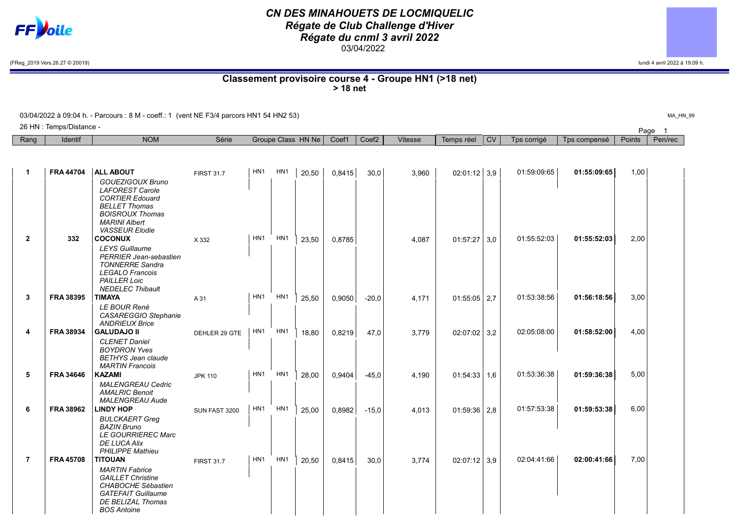

## *CN DES MINAHOUETS DE LOCMIQUELIC Régate de Club Challenge d'Hiver Régate du cnml 3 avril 2022* 03/04/2022

(FReg\_2019 Vers.26.27 © 20019) lundi 4 avril 2022 à 19.09 h.

Classement provisoire course 4 - Groupe HN1 (>18 net) > 18 net

03/04/2022 à 09:04 h. - Parcours : 8 M - coeff.: 1 (vent NE F3/4 parcors HN1 54 HN2 53)

| 26 HN : Te<br>. Temps/Distance - |         |            |       |                    |       |       |         |            |           |             |              |        | Page    |  |
|----------------------------------|---------|------------|-------|--------------------|-------|-------|---------|------------|-----------|-------------|--------------|--------|---------|--|
| Rang                             | Identif | <b>NOM</b> | Série | Groupe Class HN Ne | Coef1 | Coef2 | Vitesse | Temps réel | <b>CV</b> | Tps corrigé | Tps compensé | Points | Pen/rec |  |
|                                  |         |            |       |                    |       |       |         |            |           |             |              |        |         |  |

| 1              | <b>FRA 44704</b> | <b>ALL ABOUT</b>                                                                                                                                                        | <b>FIRST 31.7</b> | HN <sub>1</sub> | HN <sub>1</sub> | 20,50 | 0,8415 | 30,0    | 3,960 | $02:01:12$ 3,9 |     | 01:59:09:65 | 01:55:09:65 | 1,00 |  |
|----------------|------------------|-------------------------------------------------------------------------------------------------------------------------------------------------------------------------|-------------------|-----------------|-----------------|-------|--------|---------|-------|----------------|-----|-------------|-------------|------|--|
|                |                  | GOUEZIGOUX Bruno<br><b>LAFOREST Carole</b><br><b>CORTIER Edouard</b><br><b>BELLET Thomas</b><br><b>BOISROUX Thomas</b><br><b>MARINI Albert</b><br><b>VASSEUR Elodie</b> |                   |                 |                 |       |        |         |       |                |     |             |             |      |  |
| $\mathbf{2}$   | 332              | <b>COCONUX</b>                                                                                                                                                          | X 332             | HN <sub>1</sub> | HN <sub>1</sub> | 23,50 | 0,8785 |         | 4,087 | 01:57:27       | 3,0 | 01:55:52:03 | 01:55:52:03 | 2,00 |  |
|                |                  | <b>LEYS</b> Guillaume<br><b>PERRIER Jean-sebastien</b><br><b>TONNERRE Sandra</b><br><b>LEGALO Francois</b><br><b>PAILLER Loic</b><br><b>NEDELEC Thibault</b>            |                   |                 |                 |       |        |         |       |                |     |             |             |      |  |
| 3              | <b>FRA 38395</b> | <b>TIMAYA</b>                                                                                                                                                           | A 31              | HN <sub>1</sub> | HN <sub>1</sub> | 25,50 | 0,9050 | $-20.0$ | 4.171 | 01:55:05       | 2,7 | 01:53:38:56 | 01:56:18:56 | 3,00 |  |
|                |                  | LE BOUR René<br>CASAREGGIO Stephanie<br><b>ANDRIEUX Brice</b>                                                                                                           |                   |                 |                 |       |        |         |       |                |     |             |             |      |  |
| 4              | <b>FRA 38934</b> | <b>GALUDAJO II</b>                                                                                                                                                      | DEHLER 29 GTE     | HN <sub>1</sub> | HN <sub>1</sub> | 18,80 | 0,8219 | 47.0    | 3,779 | 02:07:02       | 3,2 | 02:05:08:00 | 01:58:52:00 | 4.00 |  |
|                |                  | <b>CLENET Daniel</b><br><b>BOYDRON Yves</b><br><b>BETHYS Jean claude</b><br><b>MARTIN Francois</b>                                                                      |                   |                 |                 |       |        |         |       |                |     |             |             |      |  |
| 5              | <b>FRA 34646</b> | <b>KAZAMI</b>                                                                                                                                                           | <b>JPK 110</b>    | HN <sub>1</sub> | HN <sub>1</sub> | 28,00 | 0,9404 | $-45.0$ | 4,190 | 01:54:33       | 1,6 | 01:53:36:38 | 01:59:36:38 | 5.00 |  |
|                |                  | <b>MALENGREAU Cedric</b><br><b>AMALRIC Benoit</b><br><b>MALENGREAU Aude</b>                                                                                             |                   |                 |                 |       |        |         |       |                |     |             |             |      |  |
| 6              | <b>FRA 38962</b> | <b>LINDY HOP</b>                                                                                                                                                        | SUN FAST 3200     | HN <sub>1</sub> | HN <sub>1</sub> | 25,00 | 0,8982 | $-15.0$ | 4,013 | 01:59:36       | 2,8 | 01:57:53:38 | 01:59:53:38 | 6,00 |  |
|                |                  | <b>BULCKAERT Greg</b><br><b>BAZIN Bruno</b><br><b>LE GOURRIEREC Marc</b><br><b>DE LUCA Alix</b><br><b>PHILIPPE Mathieu</b>                                              |                   |                 |                 |       |        |         |       |                |     |             |             |      |  |
| $\overline{7}$ | <b>FRA 45708</b> | <b>TITOUAN</b>                                                                                                                                                          | <b>FIRST 31.7</b> | HN <sub>1</sub> | HN <sub>1</sub> | 20,50 | 0,8415 | 30,0    | 3,774 | $02:07:12$ 3.9 |     | 02:04:41:66 | 02:00:41:66 | 7,00 |  |
|                |                  | <b>MARTIN</b> Fabrice<br><b>GAILLET Christine</b><br><b>CHABOCHE Sébastien</b><br><b>GATEFAIT Guillaume</b><br>DE BELIZAL Thomas<br><b>BOS Antoine</b>                  |                   |                 |                 |       |        |         |       |                |     |             |             |      |  |

MA\_HN\_99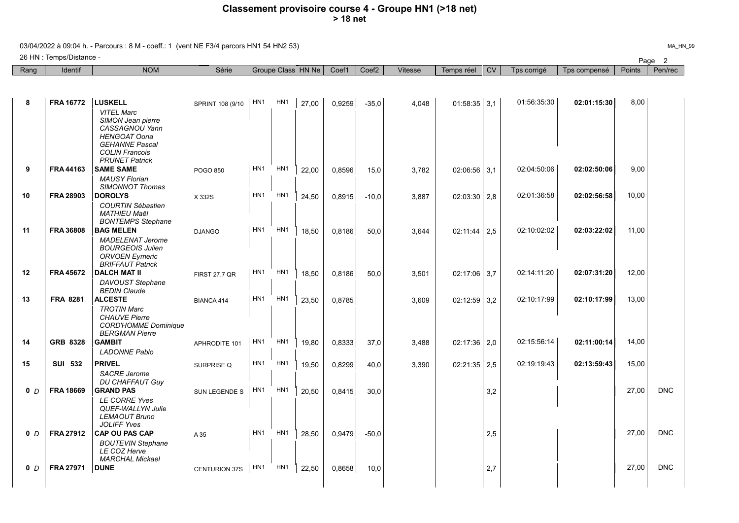## Classement provisoire course 4 - Groupe HN1 (>18 net) > 18 net

03/04/2022 à 09:04 h. - Parcours : 8 M - coeff.: 1 (vent NE F3/4 parcors HN1 54 HN2 53)

Page <sup>2</sup> 26 HN : Temps/Distance -

| Rang           | <b>Identif</b>   | <b>NOM</b>                                                                                                                                                 | Série                | Groupe Class HN Ne |                 | Coef1 | Coef <sub>2</sub> | <b>Vitesse</b> | Temps réel | <b>CV</b>        | Tps corrigé | Tps compensé | Points      | Pen/rec |            |
|----------------|------------------|------------------------------------------------------------------------------------------------------------------------------------------------------------|----------------------|--------------------|-----------------|-------|-------------------|----------------|------------|------------------|-------------|--------------|-------------|---------|------------|
|                |                  |                                                                                                                                                            |                      |                    |                 |       |                   |                |            |                  |             |              |             |         |            |
|                |                  |                                                                                                                                                            |                      |                    |                 |       |                   |                |            |                  |             |              |             |         |            |
| 8              | <b>FRA 16772</b> | <b>LUSKELL</b>                                                                                                                                             | SPRINT 108 (9/10     | HN <sub>1</sub>    | HN <sub>1</sub> | 27,00 | 0,9259            | $-35,0$        | 4.048      | $01:58:35$ 3,1   |             | 01:56:35:30  | 02:01:15:30 | 8,00    |            |
|                |                  | <b>VITEL Marc</b><br>SIMON Jean pierre<br>CASSAGNOU Yann<br><b>HENGOAT Oona</b><br><b>GEHANNE Pascal</b><br><b>COLIN Francois</b><br><b>PRUNET Patrick</b> |                      |                    |                 |       |                   |                |            |                  |             |              |             |         |            |
| 9              | <b>FRA 44163</b> | <b>SAME SAME</b>                                                                                                                                           | POGO 850             | HN <sub>1</sub>    | HN <sub>1</sub> | 22,00 | 0,8596            | 15,0           | 3,782      | 02:06:56         | 3,1         | 02:04:50:06  | 02:02:50:06 | 9,00    |            |
|                |                  | <b>MAUSY Florian</b><br><b>SIMONNOT Thomas</b>                                                                                                             |                      |                    |                 |       |                   |                |            |                  |             |              |             |         |            |
| 10             | <b>FRA 28903</b> | <b>DOROLYS</b>                                                                                                                                             | X 332S               | HN <sub>1</sub>    | HN <sub>1</sub> | 24,50 | 0,8915            | $-10,0$        | 3,887      | 02:03:30         | 2,8         | 02:01:36:58  | 02:02:56:58 | 10,00   |            |
| 11             | <b>FRA 36808</b> | <b>COURTIN Sébastien</b><br><b>MATHIEU Maël</b><br><b>BONTEMPS Stephane</b><br><b>BAG MELEN</b>                                                            |                      | HN <sub>1</sub>    | HN <sub>1</sub> |       |                   |                |            |                  |             | 02:10:02:02  | 02:03:22:02 | 11,00   |            |
|                |                  | <b>MADELENAT Jerome</b>                                                                                                                                    | <b>DJANGO</b>        |                    |                 | 18.50 | 0,8186            | 50,0           | 3.644      | 02:11:44         | 2.5         |              |             |         |            |
|                |                  | <b>BOURGEOIS Julien</b><br><b>ORVOEN Eymeric</b><br><b>BRIFFAUT Patrick</b>                                                                                |                      |                    |                 |       |                   |                |            |                  |             |              |             |         |            |
| 12             | <b>FRA 45672</b> | <b>DALCH MAT II</b>                                                                                                                                        | <b>FIRST 27.7 QR</b> | HN <sub>1</sub>    | HN <sub>1</sub> | 18.50 | 0,8186            | 50,0           | 3,501      | $02:17:06$ 3.7   |             | 02:14:11:20  | 02:07:31:20 | 12,00   |            |
| 13             | <b>FRA 8281</b>  | DAVOUST Stephane<br><b>BEDIN Claude</b><br><b>ALCESTE</b>                                                                                                  |                      | HN <sub>1</sub>    | HN <sub>1</sub> |       |                   |                |            |                  |             | 02:10:17:99  | 02:10:17:99 | 13.00   |            |
|                |                  | <b>TROTIN Marc</b><br><b>CHAUVE Pierre</b><br><b>CORD'HOMME Dominique</b><br><b>BERGMAN Pierre</b>                                                         | BIANCA 414           |                    |                 | 23.50 | 0.8785            |                | 3.609      | 02:12:59         | 3.2         |              |             |         |            |
| 14             | <b>GRB 8328</b>  | <b>GAMBIT</b>                                                                                                                                              | APHRODITE 101        | HN <sub>1</sub>    | HN <sub>1</sub> | 19.80 | 0.8333            | 37.0           | 3.488      | $02:17:36$   2.0 |             | 02:15:56:14  | 02:11:00:14 | 14.00   |            |
|                |                  | <b>LADONNE Pablo</b>                                                                                                                                       |                      |                    |                 |       |                   |                |            |                  |             |              |             |         |            |
| 15             | <b>SUI 532</b>   | <b>PRIVEL</b>                                                                                                                                              | SURPRISE Q           | HN1                | HN1             | 19,50 | 0,8299            | 40,0           | 3,390      | $02:21:35$ 2,5   |             | 02:19:19:43  | 02:13:59:43 | 15,00   |            |
|                |                  | <b>SACRE</b> Jerome<br><b>DU CHAFFAUT Guy</b>                                                                                                              |                      |                    |                 |       |                   |                |            |                  |             |              |             |         |            |
| 0 <sub>D</sub> | <b>FRA 18669</b> | <b>GRAND PAS</b>                                                                                                                                           | SUN LEGENDE S        | HN <sub>1</sub>    | HN1             | 20,50 | 0,8415            | 30,0           |            |                  | 3,2         |              |             | 27.00   | <b>DNC</b> |
|                |                  | <b>LE CORRE Yves</b><br>QUEF-WALLYN Julie<br><b>LEMAOUT Bruno</b><br><b>JOLIFF Yves</b>                                                                    |                      |                    |                 |       |                   |                |            |                  |             |              |             |         |            |
| 0 <sub>D</sub> | <b>FRA 27912</b> | <b>CAP OU PAS CAP</b>                                                                                                                                      | A 35                 | HN <sub>1</sub>    | HN <sub>1</sub> | 28,50 | 0,9479            | $-50,0$        |            |                  | 2,5         |              |             | 27.00   | <b>DNC</b> |
|                |                  | <b>BOUTEVIN Stephane</b><br>LE COZ Herve<br><b>MARCHAL Mickael</b>                                                                                         |                      |                    |                 |       |                   |                |            |                  |             |              |             |         |            |
| 0 <sub>D</sub> | <b>FRA 27971</b> | <b>DUNE</b>                                                                                                                                                | <b>CENTURION 37S</b> | HN <sub>1</sub>    | HN <sub>1</sub> | 22,50 | 0,8658            | 10,0           |            |                  | 2,7         |              |             | 27,00   | <b>DNC</b> |
|                |                  |                                                                                                                                                            |                      |                    |                 |       |                   |                |            |                  |             |              |             |         |            |

MA\_HN\_99